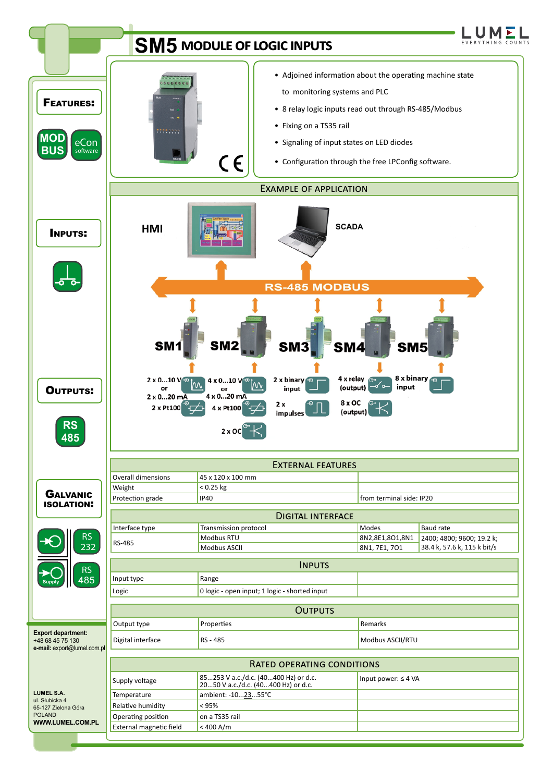